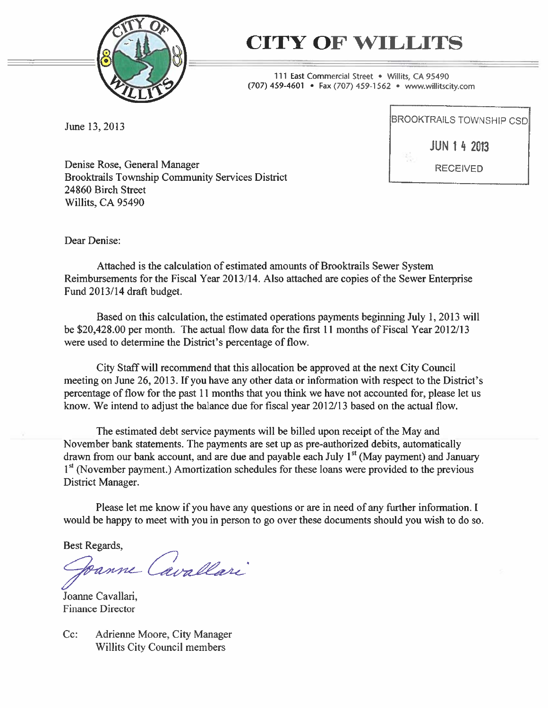

# CITY OF WILLITS

111 East Commercial Street • Willits, CA 95490 (707) 459-4601 • Fax (707) 459-1562 • www.willitscity.com

June 13, 2013

BROOKTRAILS TOWNSHIP CSD JUN 142013 RECEIVED

Denise Rose, General Manager Brooktrails Township Community Services District \_\_\_\_\_\_\_\_\_\_\_\_\_\_\_ 24860 Birch Street Willits, CA 95490

Dear Denise:

Attached is the calculation of estimated amounts of Brooktrails Sewer System Reimbursements for the Fiscal Year 2013/14. Also attached are copies of the Sewer Enterprise Fund 2013/14 draft budget.

Based on this calculation, the estimated operations payments beginning July 1,2013 will be \$20,428.00 per month. The actual flow data for the first 11 months of Fiscal Year 2012/13 were used to determine the District's percentage of flow.

City Staff will recommend that this allocation be approved at the next City Council meeting on June 26, 2013. If you have any other data or information with respect to the District's percentage of flow for the past 11 months that you think we have not accounted for, please let us know. We intend to adjust the balance due for fiscal year 2012/13 based on the actual flow.

The estimated debt service payments will be billed upon receipt of the May and November bank statements. The payments are set up as pre-authorized debits, automatically drawn from our bank account, and are due and payable each July  $1<sup>st</sup>$  (May payment) and January  $1<sup>st</sup>$  (November payment.) Amortization schedules for these loans were provided to the previous District Manager.

Please let me know if you have any questions or are in need of any further information. I would be happy to meet with you in person to go over these documents should you wish to do so.

Best Regards,

Danne Cavallari

Joanne Cavallari, Finance Director

Cc: Adrienne Moore, City Manager Willits City Council members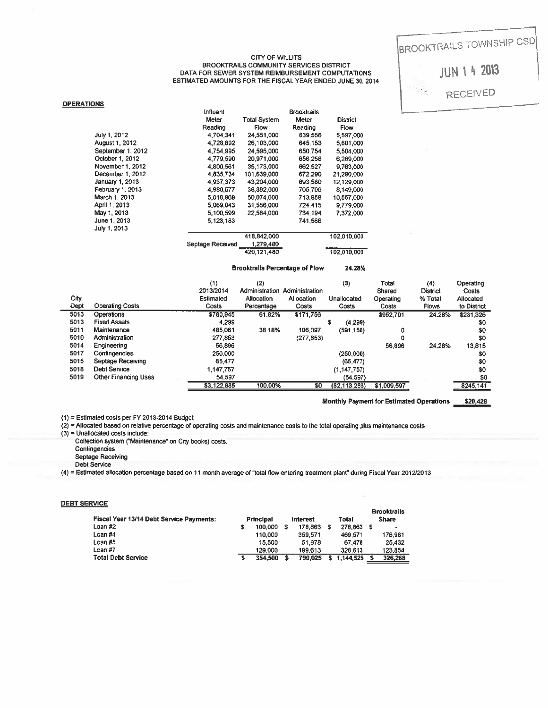#### CITY OF WILLITS BROOKTRAILS COMMUNITY SERVICES DISTRICT DATA FOR SEWER SYSTEM REIMBURSEMENT COMPUTATIONS ESTIMATED AMOUNTS FOR THE FISCAL YEAR ENDED JUNE 30, 2014

|                       | <b>Influent</b>  |                     | <b>Brooktrails</b> |                 |
|-----------------------|------------------|---------------------|--------------------|-----------------|
|                       | Meter            | <b>Total System</b> | Meter              | <b>District</b> |
|                       | Reading          | <b>Flow</b>         | Reading            | Flow            |
| July 1, 2012          | 4.704.341        | 24,551,000          | 639,556            | 5,597,000       |
| <b>August 1, 2012</b> | 4.728.892        | 26,103,000          | 645,153            | 5,601,000       |
| September 1, 2012     | 4.754.995        | 24.595.000          | 650.754            | 5,504,000       |
| October 1, 2012       | 4.779.590        | 20.971.000          | 656,258            | 6.269.000       |
| November 1, 2012      | 4.800.561        | 35.173.000          | 662,527            | 9,763,000       |
| December 1, 2012      | 4,835,734        | 101.639.000         | 672,290            | 21,290,000      |
| January 1, 2013       | 4.937.373        | 43.204.000          | 693,580            | 12,129,000      |
| February 1, 2013      | 4.980.577        | 38.392.000          | 705,709            | 8,149,000       |
| March 1, 2013         | 5.018.969        | 50.074.000          | 713,858            | 10,557,000      |
| April 1, 2013         | 5,069,043        | 31,556,000          | 724,415            | 9,779,000       |
| May 1, 2013           | 5,100,599        | 22.584.000          | 734,194            | 7.372.000       |
| June 1, 2013          | 5,123,183        |                     | 741,566            |                 |
| July 1, 2013          |                  |                     |                    |                 |
|                       |                  | 418,842,000         |                    | 102,010,000     |
|                       | Septage Received | 1,279,480           |                    |                 |
|                       |                  | 420,121,480         |                    | 102,010,000     |

#### Brooktrails Percentage of Flow 24.28%

|                   |                                                                                                                                                                                           |                                     |                                    |                                        |                         |                    | <b>BROOKTRAILS TOWN</b> |                                      |
|-------------------|-------------------------------------------------------------------------------------------------------------------------------------------------------------------------------------------|-------------------------------------|------------------------------------|----------------------------------------|-------------------------|--------------------|-------------------------|--------------------------------------|
|                   | <b>CITY OF WILLITS</b><br><b>BROOKTRAILS COMMUNITY SERVICES DISTRICT</b><br>DATA FOR SEWER SYSTEM REIMBURSEMENT COMPUTATIONS<br>ESTIMATED AMOUNTS FOR THE FISCAL YEAR ENDED JUNE 30, 2014 |                                     |                                    |                                        |                         |                    |                         | <b>JUN 1 4 20</b><br><b>RECEIVED</b> |
| <b>OPERATIONS</b> |                                                                                                                                                                                           |                                     |                                    |                                        |                         |                    |                         |                                      |
|                   |                                                                                                                                                                                           | <b>Influent</b><br>Meter<br>Reading | <b>Total System</b><br><b>Flow</b> | <b>Brooktrails</b><br>Meter<br>Reading | <b>District</b><br>Flow |                    |                         |                                      |
|                   | July 1, 2012                                                                                                                                                                              | 4,704,341                           | 24,551,000                         | 639,556                                | 5,597,000               |                    |                         |                                      |
|                   | August 1, 2012                                                                                                                                                                            | 4,728,892                           | 26,103,000                         | 645,153                                | 5,601,000               |                    |                         |                                      |
|                   | September 1, 2012                                                                                                                                                                         | 4,754,995                           | 24,595,000                         | 650,754                                | 5,504,000               |                    |                         |                                      |
|                   | October 1, 2012<br>November 1, 2012                                                                                                                                                       | 4,779,590                           | 20.971.000                         | 656,258                                | 6,269,000               |                    |                         |                                      |
|                   | December 1, 2012                                                                                                                                                                          | 4,800,561<br>4,835,734              | 35,173,000<br>101,639,000          | 662,527<br>672,290                     | 9,763,000<br>21,290,000 |                    |                         |                                      |
|                   | January 1, 2013                                                                                                                                                                           | 4,937,373                           | 43,204,000                         | 693,580                                | 12,129,000              |                    |                         |                                      |
|                   | February 1, 2013                                                                                                                                                                          | 4,980,577                           | 38,392,000                         | 705,709                                | 8,149,000               |                    |                         |                                      |
|                   | March 1, 2013                                                                                                                                                                             | 5,018,969                           | 50,074 000                         | 713,858                                | 10,557,000              |                    |                         |                                      |
|                   | April 1, 2013                                                                                                                                                                             | 5,069,043                           | 31,556,000                         | 724,415                                | 9,779,000               |                    |                         |                                      |
|                   | May 1, 2013                                                                                                                                                                               | 5,100,599                           | 22,584,000                         | 734.194                                | 7,372,000               |                    |                         |                                      |
|                   | June 1, 2013<br>July 1, 2013                                                                                                                                                              | 5,123,183                           |                                    | 741,566                                |                         |                    |                         |                                      |
|                   |                                                                                                                                                                                           |                                     | 418,842,000                        |                                        | 102,010,000             |                    |                         |                                      |
|                   |                                                                                                                                                                                           | Septage Received                    | 1,279,480                          |                                        |                         |                    |                         |                                      |
|                   |                                                                                                                                                                                           |                                     | 420,121,480                        |                                        | 102,010,000             |                    |                         |                                      |
|                   |                                                                                                                                                                                           |                                     |                                    | <b>Brooktrails Percentage of Flow</b>  | 24.28%                  |                    |                         |                                      |
|                   |                                                                                                                                                                                           | (1)                                 | (2)                                |                                        | (3)                     | <b>Total</b>       | (4)                     | Operating                            |
|                   |                                                                                                                                                                                           | 2013/2014                           |                                    | Administration Administration          |                         | Shared             | <b>District</b>         | Costs                                |
| City<br>Dept      | <b>Operating Costs</b>                                                                                                                                                                    | Estimated<br>Costs                  | Allocation<br>Percentage           | Allocation<br>Costs                    | Unallocated<br>Costs    | Operating<br>Costs | % Total<br><b>Flows</b> | Allocated<br>to District             |
| 5013              | Operations                                                                                                                                                                                | \$780,945                           | 61.82%                             | \$171,756                              |                         | \$952,701          | 24.28%                  | \$231,326                            |
| 5013              | <b>Fixed Assets</b>                                                                                                                                                                       | 4,299                               |                                    |                                        | S.<br>(4, 299)          |                    |                         | \$0                                  |
| 5011              | Maintenance                                                                                                                                                                               | 485,061                             | 38.18%                             | 106,097                                | (591, 158)              |                    | 0                       | \$0                                  |
| 5010              | Administration                                                                                                                                                                            | 277,853                             |                                    | (277, 853)                             |                         |                    | 0                       | \$0                                  |
| 5014              | Engineering                                                                                                                                                                               | 56,896                              |                                    |                                        |                         | 56.896             | 24.28%                  | 13.815                               |
| 5017              | Contingencies                                                                                                                                                                             | 250,000                             |                                    |                                        | (250,000)               |                    |                         | \$0                                  |
| 5015              | Septage Receiving                                                                                                                                                                         | 65,477                              |                                    |                                        | (65, 477)               |                    |                         | \$0                                  |
| 5018              | <b>Debt Service</b>                                                                                                                                                                       | 1,147,757                           |                                    |                                        | (1, 147, 757)           |                    |                         | \$0                                  |
| 5019              | Other Financing Uses                                                                                                                                                                      | 54,597                              |                                    |                                        | (54, 597)               |                    |                         | \$0                                  |
|                   |                                                                                                                                                                                           | \$3,122,885                         | 100.00%                            | \$0                                    | (\$2,113,288)           | \$1,009,597        |                         | \$245,141                            |

Monthly Payment for Estimated Operations \$20,428

(1) = Estimated costs per FY 2013-2014 Budget

(2) <sup>=</sup> Allocated based on relative percentage of operating costs and maintenance costs to the total operating plus maintenance costs

 $(3)$  = Unallocated costs include:

Collection system ('Maintenance" on City books) costs.

- Contingencies
- Septage Receiving

Debt Service

(4) <sup>=</sup> Estimated allocation percentage based on II month average of "total flow entering treatment plant" during Fiscal Year 2012/2013

#### **DEBT SERVICE**

| Fiscal Year 13/14 Debt Service Payments: |   | Principal | Interest | Total     | <b>Brooktrails</b><br><b>Share</b> |
|------------------------------------------|---|-----------|----------|-----------|------------------------------------|
| Loan #2                                  | 3 | 100,000   | 178,863  | 278,863   | $\blacksquare$                     |
| Loan #4                                  |   | 110,000   | 359,571  | 469.571   | 176,981                            |
| Loan #5                                  |   | 15,500    | 51.978   | 67.478    | 25,432                             |
| Loan #7                                  |   | 129,000   | 199,613  | 328,613   | 123,854                            |
| <b>Total Debt Service</b>                |   | 354,500   | 790.025  | 1.144.525 | 326.268                            |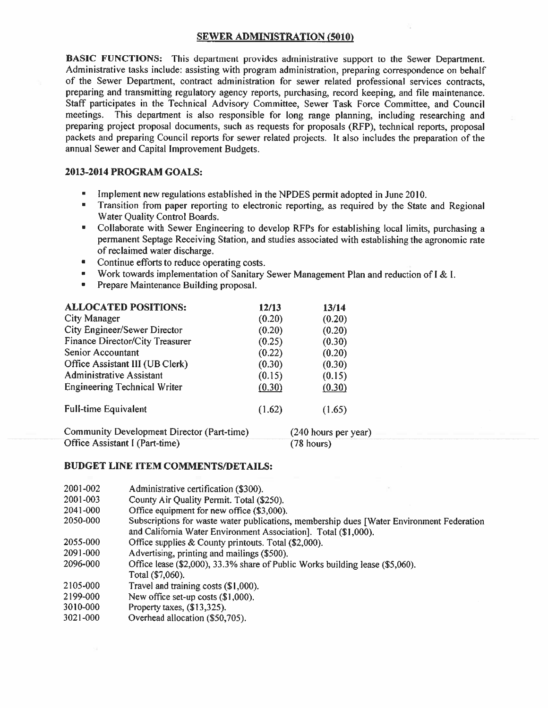# SEWER ADMINISTRATION (5010)

BASIC FUNCTIONS: This department provides administrative support to the Sewer Department. Administrative tasks include: assisting with program administration, preparing correspondence on behalf of the Sewer Department, contract administration for sewer related professional services contracts, preparing and transmitting regulatory agency reports, purchasing, record keeping, and file maintenance. Staff participates in the Technical Advisory Committee, Sewer Task Force Committee, and Council meetings. This department is also responsible for long range planning, including researching and preparing project proposal documents, such as requests for proposals (RFP), technical reports, proposal packets and preparing Council reports for sewer related projects. It also includes the preparation of the annual Sewer and Capital Improvement Budgets.

# 2013-2014 PROGRAM GOALS:

- Implement new regulations established in the NPDES permit adopted in June 2010.
- Transition from paper reporting to electronic reporting, as required by the State and Regional Water Quality Control Boards.
- Collaborate with Sewer Engineering to develop RFPs for establishing local limits, purchasing <sup>a</sup> permanent Septage Receiving Station, and studies associated with establishing the agronomic rate of reclaimed water discharge.
- Continue efforts to reduce operating costs.
- Work towards implementation of Sanitary Sewer Management Plan and reduction of 1 & I.
- Prepare Maintenance Building proposal.

| <b>ALLOCATED POSITIONS:</b>                | 12/13  | 13/14                |
|--------------------------------------------|--------|----------------------|
| City Manager                               | (0.20) | (0.20)               |
| <b>City Engineer/Sewer Director</b>        | (0.20) | (0.20)               |
| Finance Director/City Treasurer            | (0.25) | (0.30)               |
| Senior Accountant                          | (0.22) | (0.20)               |
| Office Assistant III (UB Clerk)            | (0.30) | (0.30)               |
| <b>Administrative Assistant</b>            | (0.15) | (0.15)               |
| <b>Engineering Technical Writer</b>        | (0.30) | (0.30)               |
| <b>Full-time Equivalent</b>                | (1.62) | (1.65)               |
| Community Development Director (Part-time) |        | (240 hours per year) |
| Office Assistant I (Part-time)             |        | $(78$ hours)         |

| 2001-002<br>Administrative certification (\$300) |  |  |
|--------------------------------------------------|--|--|
|--------------------------------------------------|--|--|

- 200 1-003 County Air Quality Permit. Total (\$250).
- 204 1-000 Office equipment for new office (\$3,000).
- 2050-000 Subscriptions for waste water publications, membership dues [Water Environment Federation and California Water Environment Association]. Total (\$1,000).
- 2055-000 Office supplies & County printouts. Total (\$2,000).
- 209 1-000 Advertising, printing and mailings (\$500).
- 2096-000 Office lease (\$2,000), 33.3% share of Public Works building lease (\$5,060). Total (\$7,060).
- 2105-000 Travel and training costs (\$1,000).
- 2199-000 New office set-up costs (\$1,000).
- 3010-000 Property taxes, (\$13,325).
- 302 1-000 Overhead allocation (\$50,705).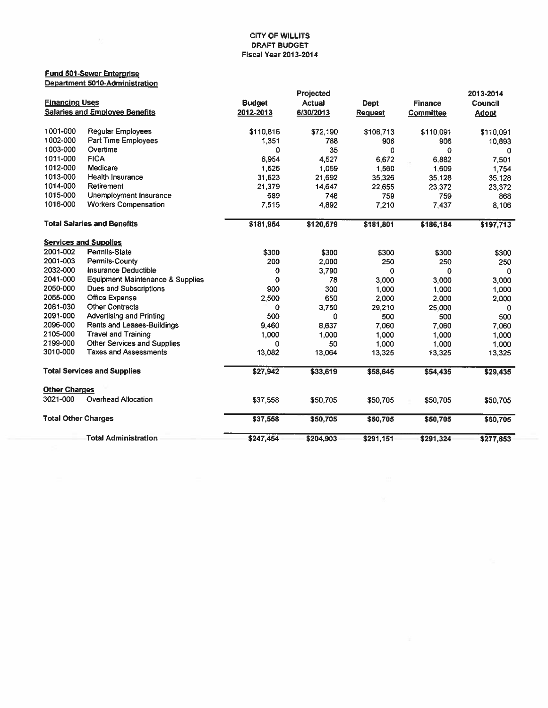### Fund 501 -Sewer Enterorise Department 5010-Administration

|                            |                                             |               | Projected     |                |                | 2013-2014    |
|----------------------------|---------------------------------------------|---------------|---------------|----------------|----------------|--------------|
| <b>Financing Uses</b>      |                                             | <b>Budget</b> | <b>Actual</b> | <b>Dept</b>    | <b>Finance</b> | Council      |
|                            | <b>Salaries and Employee Benefits</b>       | 2012-2013     | 6/30/2013     | <b>Request</b> | Committee      | <b>Adopt</b> |
| 1001-000                   | <b>Regular Employees</b>                    | \$110,816     | \$72,190      | \$106,713      | \$110,091      | \$110,091    |
| 1002-000                   | <b>Part Time Employees</b>                  | 1,351         | 788           | 906            | 906            | 10,893       |
| 1003-000                   | Overtime                                    | 0             | 35            | 0              | 0              | O            |
| 1011-000                   | <b>FICA</b>                                 | 6,954         | 4,527         | 6,672          | 6.882          | 7,501        |
| 1012-000                   | Medicare                                    | 1,626         | 1,059         | 1,560          | 1,609          | 1,754        |
| 1013-000                   | <b>Health Insurance</b>                     | 31,623        | 21,692        | 35,326         | 35,128         | 35,128       |
| 1014-000                   | Retirement                                  | 21,379        | 14,647        | 22,655         | 23,372         | 23,372       |
| 1015-000                   | <b>Unemployment Insurance</b>               | 689           | 748           | 759            | 759            | 868          |
| 1016-000                   | <b>Workers Compensation</b>                 | 7,515         | 4,892         | 7,210          | 7,437          | 8,106        |
|                            | <b>Total Salaries and Benefits</b>          | \$181,954     | \$120,579     | \$181,801      | \$186,184      | \$197,713    |
|                            | <b>Services and Supplies</b>                |               |               |                |                |              |
| 2001-002                   | <b>Permits-State</b>                        | \$300         | \$300         | \$300          | \$300          | \$300        |
| 2001-003                   | Permits-County                              | 200           | 2,000         | 250            | 250            | 250          |
| 2032-000                   | Insurance Deductible                        | 0             | 3,790         | 0              | 0              | $\mathbf{0}$ |
| 2041-000                   | <b>Equipment Maintenance &amp; Supplies</b> | 0             | 78            | 3,000          | 3,000          | 3,000        |
| 2050-000                   | <b>Dues and Subscriptions</b>               | 900           | 300           | 1,000          | 1,000          | 1,000        |
| 2055-000                   | Office Expense                              | 2,500         | 650           | 2,000          | 2,000          | 2,000        |
| 2081-030                   | <b>Other Contracts</b>                      | 0             | 3,750         | 29,210         | 25,000         | 0            |
| 2091-000                   | <b>Advertising and Printing</b>             | 500           | 0             | 500            | 500            | 500          |
| 2096-000                   | Rents and Leases-Buildings                  | 9,460         | 8,637         | 7,060          | 7,060          | 7,060        |
| 2105-000                   | <b>Travel and Training</b>                  | 1,000         | 1,000         | 1,000          | 1,000          | 1,000        |
| 2199-000                   | Other Services and Supplies                 | 0             | 50            | 1,000          | 1,000          | 1,000        |
| 3010-000                   | <b>Taxes and Assessments</b>                | 13,082        | 13,064        | 13,325         | 13,325         | 13,325       |
|                            | <b>Total Services and Supplies</b>          | \$27,942      | \$33,619      | \$58,645       | \$54,435       | \$29,435     |
| <b>Other Charges</b>       |                                             |               |               |                |                |              |
| 3021-000                   | <b>Overhead Allocation</b>                  | \$37,558      | \$50,705      | \$50,705       | \$50,705       | \$50,705     |
| <b>Total Other Charges</b> |                                             | \$37,558      | \$50,705      | \$50,705       | \$50,705       | \$50,705     |
|                            | <b>Total Administration</b>                 | \$247,454     | \$204,903     | \$291,151      | \$291,324      | \$277,853    |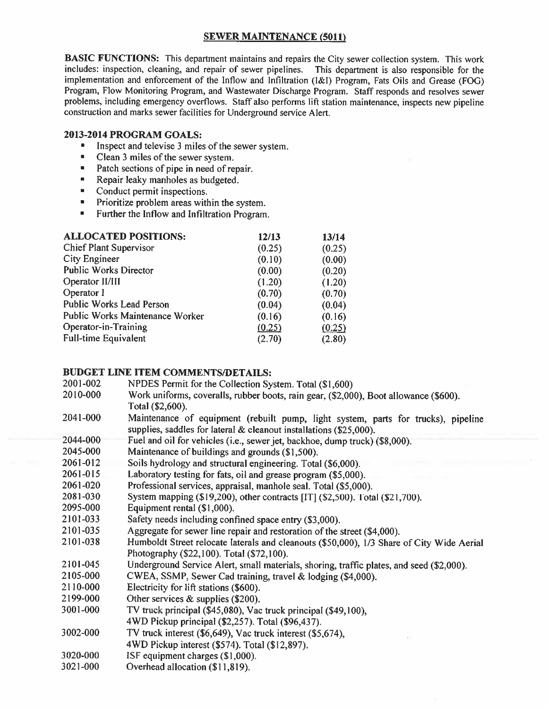# **SEWER MAINTENANCE (5011)**

BASIC FUNCTIONS: This department maintains and repairs the City sewer collection system. This work includes: inspection, cleaning, and repair of sewer pipelines. This department is also responsible for the implementation and enforcement of the Inflow and Infiltration (I&l) Program, Fats Oils and Grease (FOG) Program, Flow Monitoring Program, and Wastewater Discharge Program. Staff responds and resolves sewer problems, including emergency overflows. Staff also performs lift station maintenance, inspects new pipeline construction and marks sewer facilities for Underground service Alert.

# 2013-2014 PROGRAM GOALS:

- **•** Inspect and televise 3 miles of the sewer system.
- Clean 3 miles of the sewer system.<br>• Patch sections of nine in need of re
- Patch sections of pipe in need of repair.
- **•** Repair leaky manholes as budgeted.
- Conduct permit inspections.
- Prioritize problem areas within the system.
- Further the Inflow and Infiltration Program.

| <b>ALLOCATED POSITIONS:</b>            | 12/13  | 13/14  |
|----------------------------------------|--------|--------|
| <b>Chief Plant Supervisor</b>          | (0.25) | (0.25) |
| City Engineer                          | (0.10) | (0.00) |
| <b>Public Works Director</b>           | (0.00) | (0.20) |
| Operator II/III                        | (1.20) | (1.20) |
| Operator I                             | (0.70) | (0.70) |
| <b>Public Works Lead Person</b>        | (0.04) | (0.04) |
| <b>Public Works Maintenance Worker</b> | (0.16) | (0.16) |
| Operator-in-Training                   | (0.25) | (0.25) |
| <b>Full-time Equivalent</b>            | (2.70) | (2.80) |

|          | 921 23 9 1 1 23 0 23 34 35 36 37 38 39 39 30 31 3                                         |
|----------|-------------------------------------------------------------------------------------------|
| 2001-002 | NPDES Permit for the Collection System. Total (\$1,600)                                   |
| 2010-000 | Work uniforms, coveralls, rubber boots, rain gear, (\$2,000), Boot allowance (\$600).     |
|          | Total (\$2,600).                                                                          |
| 2041-000 | Maintenance of equipment (rebuilt pump, light system, parts for trucks), pipeline         |
|          | supplies, saddles for lateral & cleanout installations (\$25,000).                        |
| 2044-000 | Fuel and oil for vehicles (i.e., sewer jet, backhoe, dump truck) (\$8,000).               |
| 2045-000 | Maintenance of buildings and grounds (\$1,500).                                           |
| 2061-012 | Soils hydrology and structural engineering. Total (\$6,000).                              |
| 2061-015 | Laboratory testing for fats, oil and grease program (\$5,000).                            |
| 2061-020 | Professional services, appraisal, manhole seal. Total (\$5,000).                          |
| 2081-030 | System mapping (\$19,200), other contracts [IT] (\$2,500). Total (\$21,700).              |
| 2095-000 | Equipment rental (\$1,000).                                                               |
| 2101-033 | Safety needs including confined space entry (\$3,000).                                    |
| 2101-035 | Aggregate for sewer line repair and restoration of the street (\$4,000).                  |
| 2101-038 | Humboldt Street relocate laterals and cleanouts (\$50,000), 1/3 Share of City Wide Aerial |
|          | Photography (\$22,100). Total (\$72,100).                                                 |
| 2101-045 | Underground Service Alert, small materials, shoring, traffic plates, and seed (\$2,000).  |
| 2105-000 | CWEA, SSMP, Sewer Cad training, travel & lodging (\$4,000).                               |
| 2110-000 | Electricity for lift stations (\$600).                                                    |
| 2199-000 | Other services $&$ supplies (\$200).                                                      |
| 3001-000 | TV truck principal (\$45,080), Vac truck principal (\$49,100),                            |
|          | 4WD Pickup principal (\$2,257). Total (\$96,437).                                         |
| 3002-000 | TV truck interest (\$6,649), Vac truck interest (\$5,674),                                |
|          | 4WD Pickup interest (\$574). Total (\$12,897).                                            |
| 3020-000 | ISF equipment charges (\$1,000).                                                          |
| 3021-000 | Overhead allocation (\$11,819).                                                           |
|          |                                                                                           |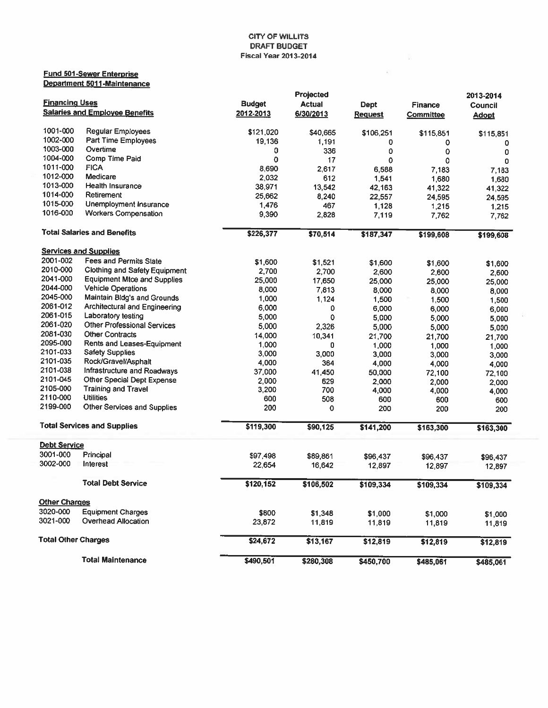$\sim$ 

 $\mathcal{L}(\cdot)$ 

# Fund 501-Sewer Enterprise Department 5011-Maintenance

|                                  |                                       |                 | Projected     |                |                | 2013-2014      |  |
|----------------------------------|---------------------------------------|-----------------|---------------|----------------|----------------|----------------|--|
| <b>Financing Uses</b>            |                                       | <b>Budget</b>   | <b>Actual</b> | <b>Dept</b>    | <b>Finance</b> | Council        |  |
|                                  | <b>Salaries and Employee Benefits</b> | 2012-2013       | 6/30/2013     | <b>Request</b> | Committee      | <b>Adopt</b>   |  |
| 1001-000                         | Regular Employees                     |                 |               |                |                |                |  |
| 1002-000                         | <b>Part Time Employees</b>            | \$121,020       | \$40,665      | \$106,251      | \$115,851      | \$115,851      |  |
| 1003-000                         | Overtime                              | 19,136          | 1,191         | 0              | 0              | 0              |  |
| 1004-000                         | Comp Time Paid                        | 0               | 336           | 0              | 0              | 0              |  |
| 1011-000                         | <b>FICA</b>                           | o               | 17            | 0              | 0              | 0              |  |
| 1012-000                         | Medicare                              | 8,690           | 2,617         | 6,588          | 7.183          | 7,183          |  |
| 1013-000                         | <b>Health Insurance</b>               | 2,032<br>38,971 | 612           | 1.541          | 1,680          | 1,680          |  |
| 1014-000                         | Retirement                            |                 | 13,542        | 42,163         | 41,322         | 41,322         |  |
| 1015-000                         | Unemployment Insurance                | 25,662          | 8,240         | 22,557         | 24,595         | 24,595         |  |
| 1016-000                         | <b>Workers Compensation</b>           | 1,476<br>9,390  | 467<br>2,828  | 1,128<br>7,119 | 1,215<br>7,762 | 1,215<br>7,762 |  |
|                                  | <b>Total Salaries and Benefits</b>    | \$226,377       |               |                |                |                |  |
|                                  |                                       |                 | \$70,514      | \$187,347      | \$199,608      | \$199,608      |  |
|                                  | <b>Services and Supplies</b>          |                 |               |                |                |                |  |
| 2001-002                         | <b>Fees and Permits State</b>         | \$1,600         | \$1,521       | \$1,600        | \$1,600        | \$1,600        |  |
| 2010-000                         | Clothing and Safety Equipment         | 2,700           | 2,700         | 2,600          | 2,600          | 2,600          |  |
| 2041-000                         | <b>Equipment Mtce and Supplies</b>    | 25,000          | 17,650        | 25,000         | 25,000         | 25,000         |  |
| 2044-000                         | <b>Vehicle Operations</b>             | 8,000           | 7,813         | 8,000          | 8,000          | 8,000          |  |
| 2045-000                         | Maintain Bidg's and Grounds           | 1,000           | 1,124         | 1,500          | 1,500          | 1,500          |  |
| 2061-012                         | Architectural and Engineering         | 6,000           | 0             | 6,000          | 6,000          | 6,000          |  |
| 2061-015                         | Laboratory testing                    | 5,000           | 0             | 5,000          | 5,000          | 5,000          |  |
| 2061-020                         | Other Professional Services           | 5,000           | 2,326         | 5,000          | 5,000          | 5,000          |  |
| 2081-030                         | Other Contracts                       | 14,000          | 10,341        | 21,700         | 21,700         | 21,700         |  |
| 2095-000                         | Rents and Leases-Equipment            | 1,000           | 0             | 1,000          | 1,000          | 1,000          |  |
| 2101-033                         | <b>Safety Supplies</b>                | 3,000           | 3,000         | 3,000          | 3,000          | 3,000          |  |
| 2101-035                         | Rock/Gravel/Asphalt                   | 4,000           | 364           | 4,000          | 4,000          | 4,000          |  |
| 2101-038                         | Infrastructure and Roadways           | 37,000          | 41,450        | 50,000         | 72,100         | 72,100         |  |
| 2101-045                         | Other Special Dept Expense            | 2,000           | 629           | 2,000          | 2,000          | 2,000          |  |
| 2105-000                         | <b>Training and Travel</b>            | 3,200           | 700           | 4,000          | 4,000          | 4,000          |  |
| 2110-000                         | <b>Utilities</b>                      | 600             | 508           | 600            | 600            | 600            |  |
| 2199-000                         | Other Services and Supplies           | 200             | 0             | 200            | 200            | 200            |  |
|                                  | <b>Total Services and Supplies</b>    | \$119,300       | \$90,125      | \$141,200      | \$163,300      | \$163,300      |  |
| <b>Debt Service</b>              |                                       |                 |               |                |                |                |  |
| 3001-000                         | Principal                             | \$97,498        | \$89,861      | \$96,437       | \$96,437       | \$96,437       |  |
| 3002-000                         | Interest                              | 22,654          | 16,642        | 12,897         | 12,897         | 12,897         |  |
|                                  | <b>Total Debt Service</b>             | \$120,152       | \$106,502     | \$109,334      | \$109,334      | \$109,334      |  |
|                                  |                                       |                 |               |                |                |                |  |
| <b>Other Charges</b><br>3020-000 | <b>Equipment Charges</b>              |                 |               |                |                |                |  |
| 3021-000                         | Overhead Allocation                   | \$800           | \$1,348       | \$1,000        | \$1,000        | \$1,000        |  |
|                                  |                                       | 23,872          | 11,819        | 11,819         | 11,819         | 11,819         |  |
| <b>Total Other Charges</b>       |                                       | \$24,672        | \$13,167      | \$12,819       | \$12,819       | \$12,819       |  |
|                                  | <b>Total Maintenance</b>              | \$490,501       | \$280,308     | \$450,700      | \$485,061      | \$485,061      |  |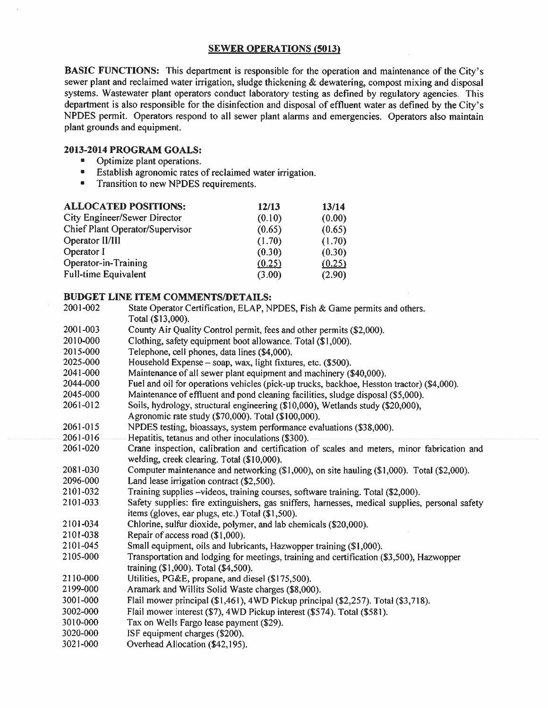# SEWER OPERATIONS (5013)

BASIC FUNCTIONS: This department is responsible for the operation and maintenance of the City's sewer plant and reclaimed water irrigation, sludge thickening  $\&$  dewatering, compost mixing and disposal systems. Wastewater plant operators conduct laboratory testing as defined by regulatory agencies. This department is also responsible for the disinfection and disposal of effluent water as defined by the City's NPDES permit. Operators respond to all sewer plant alarms and emergencies. Operators also maintain plant grounds and equipment.

# 2013-2014 PROGRAM GOALS:

- Optimize plant operations.
- Establish agronomic rates of reclaimed water irrigation.
- **•** Transition to new NPDES requirements.

| <b>ALLOCATED POSITIONS:</b>     | 12/13  | 13/14  |
|---------------------------------|--------|--------|
| City Engineer/Sewer Director    | (0.10) | (0.00) |
| Chief Plant Operator/Supervisor | (0.65) | (0.65) |
| Operator II/III                 | (1.70) | (1.70) |
| Operator I                      | (0.30) | (0.30) |
| Operator-in-Training            | (0.25) | (0.25) |
| <b>Full-time Equivalent</b>     | (3.00) | (2.90) |

|          | DUDUET EINE ITEM COMMENTS/DETAILS:                                                              |
|----------|-------------------------------------------------------------------------------------------------|
| 2001-002 | State Operator Certification, ELAP, NPDES, Fish & Game permits and others.                      |
|          | Total (\$13,000).                                                                               |
| 2001-003 | County Air Quality Control permit, fees and other permits (\$2,000).                            |
| 2010-000 | Clothing, safety equipment boot allowance. Total (\$1,000).                                     |
| 2015-000 | Telephone, cell phones, data lines (\$4,000).                                                   |
| 2025-000 | Household Expense – soap, wax, light fixtures, etc. (\$500).                                    |
| 2041-000 | Maintenance of all sewer plant equipment and machinery (\$40,000).                              |
| 2044-000 | Fuel and oil for operations vehicles (pick-up trucks, backhoe, Hesston tractor) (\$4,000).      |
| 2045-000 | Maintenance of effluent and pond cleaning facilities, sludge disposal (\$5,000).                |
| 2061-012 | Soils, hydrology, structural engineering (\$10,000), Wetlands study (\$20,000),                 |
|          | Agronomic rate study (\$70,000). Total (\$100,000).                                             |
| 2061-015 | NPDES testing, bioassays, system performance evaluations (\$38,000).                            |
| 2061-016 | Hepatitis, tetanus and other inoculations (\$300).                                              |
| 2061-020 | Crane inspection, calibration and certification of scales and meters, minor fabrication and     |
|          | welding, creek clearing. Total (\$10,000).                                                      |
| 2081-030 | Computer maintenance and networking (\$1,000), on site hauling (\$1,000). Total (\$2,000).      |
| 2096-000 | Land lease irrigation contract (\$2,500).                                                       |
| 2101-032 | Training supplies -videos, training courses, software training. Total (\$2,000).                |
| 2101-033 | Safety supplies: fire extinguishers, gas sniffers, harnesses, medical supplies, personal safety |
|          | items (gloves, ear plugs, etc.) Total (\$1,500).                                                |
| 2101-034 | Chlorine, sulfur dioxide, polymer, and lab chemicals (\$20,000).                                |
| 2101-038 | Repair of access road (\$1,000).                                                                |
| 2101-045 | Small equipment, oils and lubricants, Hazwopper training (\$1,000).                             |
| 2105-000 | Transportation and lodging for meetings, training and certification (\$3,500), Hazwopper        |
|          | training (\$1,000). Total (\$4,500).                                                            |
| 2110-000 | Utilities, PG&E, propane, and diesel (\$175,500).                                               |
| 2199-000 | Aramark and Willits Solid Waste charges (\$8,000).                                              |
| 3001-000 | Flail mower principal (\$1,461), 4WD Pickup principal (\$2,257). Total (\$3,718).               |
| 3002-000 | Flail mower interest (\$7), 4WD Pickup interest (\$574). Total (\$581).                         |
| 3010-000 | Tax on Wells Fargo lease payment (\$29).                                                        |
| 3020-000 | ISF equipment charges (\$200).                                                                  |
| 3021-000 | Overhead Allocation (\$42,195).                                                                 |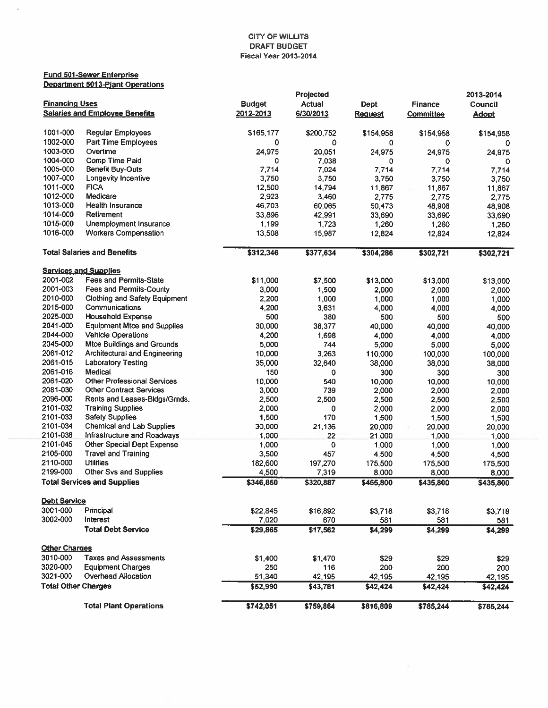#### Fund 501 -Sewer Enterprise Department 501 3-Plant Operations

 $\lambda$ 

|                            |                                       |                    | Projected          |                    |                    | 2013-2014          |
|----------------------------|---------------------------------------|--------------------|--------------------|--------------------|--------------------|--------------------|
| <b>Financing Uses</b>      |                                       | <b>Budget</b>      | <b>Actual</b>      | <b>Dept</b>        | <b>Finance</b>     | Council            |
|                            | <b>Salaries and Employee Benefits</b> | 2012-2013          | 6/30/2013          | <b>Request</b>     | Committee          | <b>Adopt</b>       |
|                            |                                       |                    |                    |                    |                    |                    |
| 1001-000                   | <b>Regular Employees</b>              | \$165,177          | \$200,752          | \$154,958          | \$154,958          | \$154,958          |
| 1002-000                   | Part Time Employees                   | 0                  | 0                  | 0                  | 0                  | 0                  |
| 1003-000                   | Overtime                              | 24,975             | 20,051             | 24,975             | 24,975             | 24,975             |
| 1004-000                   | Comp Time Paid                        | 0                  | 7,038              | 0                  | ٥                  |                    |
| 1005-000                   | <b>Benefit Buy-Outs</b>               | 7,714              | 7,024              | 7.714              | 7,714              | 7,714              |
| 1007-000                   | Longevity Incentive                   | 3,750              | 3,750              | 3,750              | 3,750              | 3,750              |
| 1011-000                   | <b>FICA</b>                           | 12,500             | 14,794             | 11,867             | 11,867             | 11,867             |
| 1012-000                   | Medicare                              | 2,923              | 3,460              | 2,775              | 2,775              | 2,775              |
| 1013-000                   | <b>Health Insurance</b>               | 46,703             | 60,065             | 50,473             | 48,908             | 48,908             |
| 1014-000                   | Retirement                            | 33,896             | 42,991             | 33,690             | 33,690             | 33,690             |
| 1015-000                   | Unemployment Insurance                | 1,199              | 1,723              | 1,260              | 1,260              | 1,260              |
| 1016-000                   | <b>Workers Compensation</b>           | 13,508             | 15,987             | 12,824             | 12,824             | 12,824             |
|                            | <b>Total Salaries and Benefits</b>    | \$312,346          | \$377,634          | \$304,286          | \$302,721          | \$302,721          |
|                            |                                       |                    |                    |                    |                    |                    |
|                            | <b>Services and Supplies</b>          |                    |                    |                    |                    |                    |
| 2001-002                   | <b>Fees and Permits-State</b>         | \$11,000           | \$7,500            | \$13,000           | \$13,000           | \$13,000           |
| 2001-003                   | Fees and Permits-County               | 3,000              | 1,500              | 2,000              | 2,000              | 2,000              |
| 2010-000                   | <b>Clothing and Safety Equipment</b>  | 2,200              | 1,000              | 1,000              | 1,000              | 1,000              |
| 2015-000                   | Communications                        | 4,200              | 3,631              | 4,000              | 4,000              | 4,000              |
| 2025-000                   | <b>Household Expense</b>              | 500                | 380                | 500                | 500                | 500                |
| 2041-000                   | <b>Equipment Mtce and Supplies</b>    | 30,000             | 38,377             | 40,000             | 40,000             | 40,000             |
| 2044-000                   | <b>Vehicle Operations</b>             | 4,200              | 1,698              | 4,000              | 4,000              | 4,000              |
| 2045-000                   | <b>Mtce Buildings and Grounds</b>     | 5,000              | 744                | 5,000              | 5,000              | 5,000              |
| 2061-012                   | Architectural and Engineering         | 10,000             | 3,263              | 110,000            | 100,000            | 100,000            |
| 2061-015                   | <b>Laboratory Testing</b>             | 35,000             | 32,640             | 38,000             | 38,000             | 38,000             |
| 2061-016                   | Medical                               | 150                | 0                  | 300                | 300                | 300                |
| 2061-020                   | Other Professional Services           | 10,000             | 540                | 10,000             | 10,000             | 10,000             |
| 2081-030                   | <b>Other Contract Services</b>        | 3,000              | 739                | 2,000              | 2,000              | 2,000              |
| 2096-000                   | Rents and Leases-Bidgs/Grnds.         | 2,500              | 2,500              | 2,500              | 2,500              | 2,500              |
| 2101-032                   | <b>Training Supplies</b>              | 2,000              | 0                  | 2,000              | 2,000              | 2,000              |
| 2101-033                   | <b>Safety Supplies</b>                | 1,500              | 170                | 1,500              | 1,500              | 1,500              |
| 2101-034                   | <b>Chemical and Lab Supplies</b>      | 30,000             | 21 136             | 20,000             | 20,000             | 20,000             |
| 2101-038                   | Infrastructure and Roadways           | 1,000              | 22                 | 21,000             | 1,000              | 1,000              |
| 2101-045                   | Other Special Dept Expense            | 1,000              | 0                  | 1,000              | 1,000              | 1,000              |
| 2105-000                   | <b>Travel and Training</b>            | 3,500              | 457                | 4,500              |                    |                    |
| 2110-000                   | <b>Utilities</b>                      | 182,600            |                    | 175,500            | 4,500              | 4,500              |
| 2199-000                   | <b>Other Svs and Supplies</b>         |                    | 197,270            |                    | 175,500            | 175,500            |
|                            | <b>Total Services and Supplies</b>    | 4,500<br>\$346,850 | 7,319<br>\$320,887 | 8,000<br>\$465,800 | 8,000<br>\$435,800 | 8,000<br>\$435,800 |
|                            |                                       |                    |                    |                    |                    |                    |
| <b>Debt Service</b>        |                                       |                    |                    |                    |                    |                    |
| 3001-000                   | Principal                             | \$22,845           | \$16,892           | \$3,718            | \$3,718            | \$3,718            |
| 3002-000                   | Interest                              | 7,020              | 670                | 581                | 581                | 581                |
|                            | <b>Total Debt Service</b>             | \$29,865           | \$17,562           | \$4,299            | \$4,299            | \$4,299            |
| <b>Other Charges</b>       |                                       |                    |                    |                    |                    |                    |
| 3010-000                   | <b>Taxes and Assessments</b>          | \$1,400            | \$1,470            | \$29               | \$29               |                    |
| 3020-000                   | <b>Equipment Charges</b>              | 250                | 116                | 200                | 200                | \$29<br>200        |
| 3021-000                   | Overhead Allocation                   | 51,340             | 42,195             |                    |                    |                    |
| <b>Total Other Charges</b> |                                       | \$52,990           | \$43,781           | 42,195<br>\$42,424 | 42,195<br>\$42,424 | 42,195<br>\$42,424 |
|                            |                                       |                    |                    |                    |                    |                    |
|                            | <b>Total Plant Operations</b>         | \$742,051          | \$759,864          | \$816,809          | \$785,244          | \$785,244          |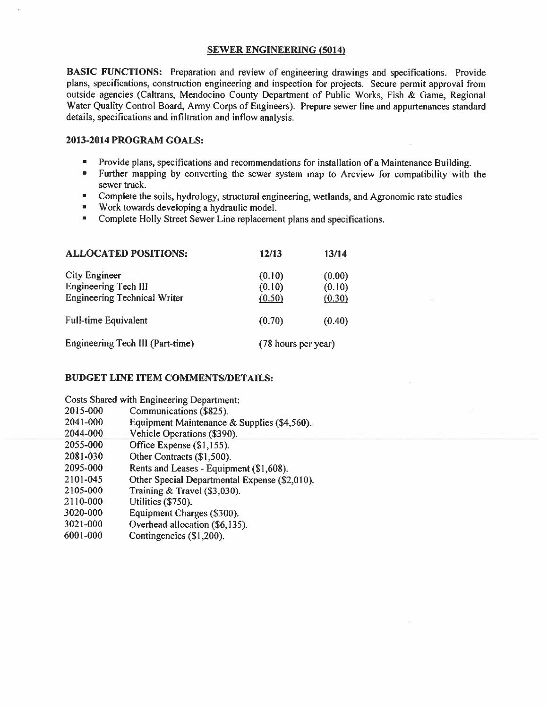# SEWER ENGINEERING (5014)

BASIC FUNCTIONS: Preparation and review of engineering drawings and specifications. Provide plans, specifications, construction engineering and inspection for projects. Secure permit approval from outside agencies (Caltrans, Mendocino County Department of Public Works, Fish & Game, Regional Water Quality Control Board, Army Corps of Engineers). Prepare sewer line and appurtenances standard details, specifications and infiltration and inflow analysis.

# 2013-2014 PROGRAM GOALS:

- **Provide plans, specifications and recommendations for installation of a Maintenance Building.**
- Further mapping by converting the sewer system map to Arcview for compatibility with the sewer truck.
- Complete the soils, hydrology, structural engineering, wetlands, and Agronomic rate studies
- Work towards developing <sup>a</sup> hydraulic model.
- Complete Holly Street Sewer Line replacement plans and specifications.

| <b>ALLOCATED POSITIONS:</b>         | 12/13  | <b>13/14</b>        |  |
|-------------------------------------|--------|---------------------|--|
| City Engineer                       | (0.10) | (0.00)              |  |
| <b>Engineering Tech III</b>         | (0.10) | (0.10)              |  |
| <b>Engineering Technical Writer</b> | (0.50) | (0.30)              |  |
| <b>Full-time Equivalent</b>         | (0.70) | (0.40)              |  |
| Engineering Tech III (Part-time)    |        | (78 hours per year) |  |

|          | Costs Shared with Engineering Department:     |
|----------|-----------------------------------------------|
| 2015-000 | Communications (\$825).                       |
| 2041-000 | Equipment Maintenance & Supplies (\$4,560).   |
| 2044-000 | Vehicle Operations (\$390).                   |
| 2055-000 | Office Expense (\$1,155).                     |
| 2081-030 | Other Contracts (\$1,500).                    |
| 2095-000 | Rents and Leases - Equipment (\$1,608).       |
| 2101-045 | Other Special Departmental Expense (\$2,010). |
| 2105-000 | Training & Travel (\$3,030).                  |
| 2110-000 | Utilities (\$750).                            |
| 3020-000 | Equipment Charges (\$300).                    |
| 3021-000 | Overhead allocation (\$6,135).                |
| 6001-000 | Contingencies (\$1,200).                      |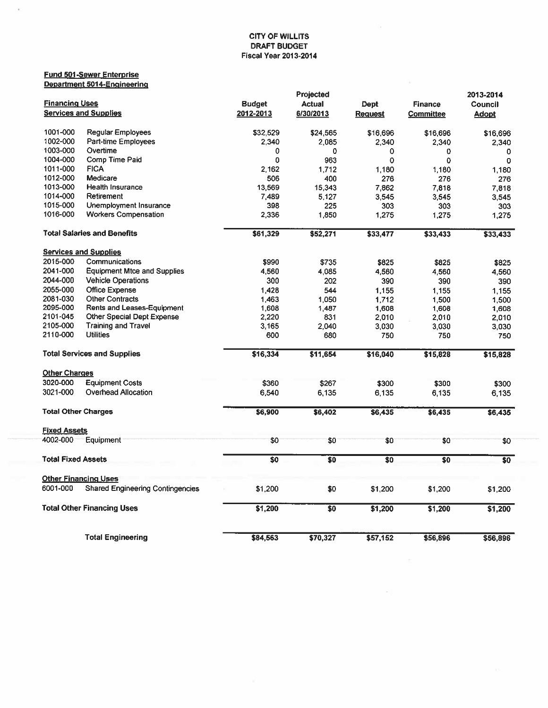# Fund 501-Sewer Enterprise Department 5014-Engineering

i.

|                            |                                         | Projected               |                                                |                | 2013-2014        |              |  |
|----------------------------|-----------------------------------------|-------------------------|------------------------------------------------|----------------|------------------|--------------|--|
| <b>Financing Uses</b>      |                                         | <b>Budget</b>           | <b>Actual</b>                                  | Dept           | <b>Finance</b>   | Council      |  |
|                            | <b>Services and Supplies</b>            | 2012-2013               | 6/30/2013                                      | <b>Request</b> | <b>Committee</b> | <b>Adopt</b> |  |
|                            |                                         |                         |                                                |                |                  |              |  |
| 1001-000                   | <b>Regular Employees</b>                | \$32,529                | \$24,565                                       | \$16,696       | \$16,696         | \$16,696     |  |
| 1002-000                   | Part-time Employees                     | 2,340                   | 2.085                                          | 2.340          | 2,340            | 2,340        |  |
| 1003-000                   | Overtime                                | 0                       | 0                                              | 0              | 0                | 0            |  |
| 1004-000                   | Comp Time Paid                          | 0                       | 963                                            | $\mathbf 0$    | $\Omega$         | $\mathbf{0}$ |  |
| 1011-000                   | <b>FICA</b>                             | 2.162                   | 1.712                                          | 1,180          | 1,180            | 1.180        |  |
| 1012-000                   | Medicare                                | 506                     | 400                                            | 276            | 276              | 276          |  |
| 1013-000                   | <b>Health Insurance</b>                 | 13,569                  | 15,343                                         | 7,862          | 7.818            | 7,818        |  |
| 1014-000                   | Retirement                              | 7,489                   | 5,127                                          | 3,545          | 3,545            | 3,545        |  |
| 1015-000                   | Unemployment Insurance                  | 398                     | 225                                            | 303            | 303              | 303          |  |
| 1016-000                   | <b>Workers Compensation</b>             | 2,336                   | 1,850                                          | 1,275          | 1,275            | 1,275        |  |
|                            | <b>Total Salaries and Benefits</b>      | \$61,329                | \$52,271                                       | \$33,477       | \$33,433         | \$33,433     |  |
|                            | <b>Services and Supplies</b>            |                         |                                                |                |                  |              |  |
| 2015-000                   | Communications                          | \$990                   | \$735                                          | \$825          | \$825            |              |  |
| 2041-000                   | <b>Equipment Mtce and Supplies</b>      |                         |                                                |                |                  | \$825        |  |
|                            |                                         | 4,560                   | 4.085                                          | 4,560          | 4,560            | 4,560        |  |
| 2044-000                   | <b>Vehicle Operations</b>               | 300                     | 202                                            | 390            | 390              | 390          |  |
| 2055-000                   | <b>Office Expense</b>                   | 1,428                   | 544                                            | 1,155          | 1,155            | 1.155        |  |
| 2081-030                   | <b>Other Contracts</b>                  | 1.463                   | 1,050                                          | 1.712          | 1,500            | 1,500        |  |
| 2095-000                   | Rents and Leases-Equipment              | 1,608                   | 1,487                                          | 1,608          | 1,608            | 1,608        |  |
| 2101-045                   | Other Special Dept Expense              | 2,220                   | 831                                            | 2,010          | 2,010            | 2,010        |  |
| 2105-000                   | <b>Training and Travel</b>              | 3 1 6 5                 | 2,040                                          | 3,030          | 3,030            | 3,030        |  |
| 2110-000                   | <b>Utilities</b>                        | 600                     | 680                                            | 750            | 750              | 750          |  |
|                            | <b>Total Services and Supplies</b>      | \$16,334                | \$11,654                                       | \$16,040       | \$15,828         | \$15,828     |  |
| <b>Other Charges</b>       |                                         |                         |                                                |                |                  |              |  |
| 3020-000                   | <b>Equipment Costs</b>                  | \$360                   | \$267                                          | \$300          | \$300            | \$300        |  |
| 3021-000                   | Overhead Allocation                     | 6.540                   | 6,135                                          | 6,135          | 6.135            | 6,135        |  |
| <b>Total Other Charges</b> |                                         | \$6,900                 | \$6,402                                        | \$6,435        | \$6,435          | \$6,435      |  |
| <b>Fixed Assets</b>        |                                         |                         |                                                |                |                  |              |  |
| 4002-000                   | Equipment                               | \$0                     | \$0                                            | \$0            | \$0              | \$0          |  |
| <b>Total Fixed Assets</b>  |                                         | $\overline{\textbf{S}}$ | $\overline{\overline{\overline{\overline{}}}}$ | \$0            | \$0              | 50           |  |
|                            | <b>Other Financing Uses</b>             |                         |                                                |                |                  |              |  |
| 6001-000                   | <b>Shared Engineering Contingencies</b> | \$1,200                 | \$0                                            | \$1,200        | \$1,200          | \$1,200      |  |
|                            | <b>Total Other Financing Uses</b>       | \$1,200                 | \$0                                            | \$1,200        | \$1,200          | \$1,200      |  |
|                            | <b>Total Engineering</b>                | \$84,563                | \$70,327                                       | \$57,152       | \$56,896         | \$56,896     |  |

 $\sim$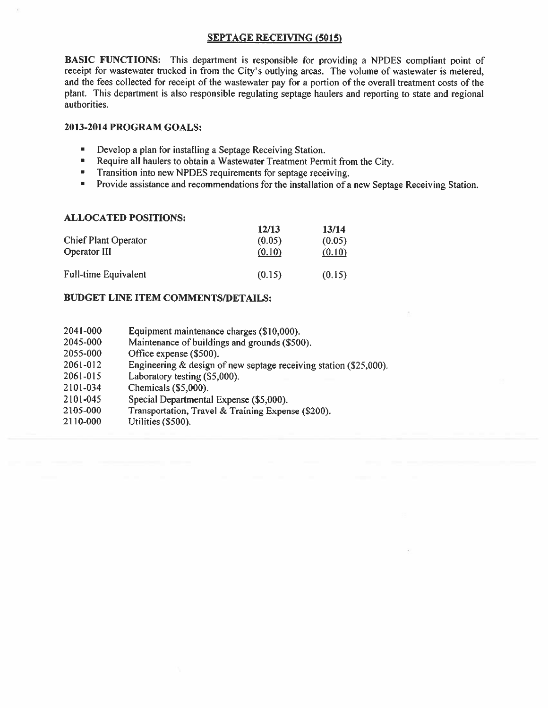# SEPTAGE RECEIVING (5015)

BASIC FUNCTIONS: This department is responsible for providing <sup>a</sup> NPDES compliant point of receipt for wastewater trucked in from the City's outlying areas. The volume of wastewater is metered, and the fees collected for receipt of the wastewater pay for <sup>a</sup> portion of the overall treatment costs of the plant. This department is also responsible regulating septage haulers and reporting to state and regional authorities.

# 2013-2014 PROGRAM GOALS:

- Develop <sup>a</sup> plan for installing <sup>a</sup> Septage Receiving Station.
- Require all haulers to obtain <sup>a</sup> Wastewater Treatment Permit from the City.
- Transition into new NPDES requirements for septage receiving.
- Provide assistance and recommendations for the installation of <sup>a</sup> new Septage Receiving Station.

# ALLOCATED POSITIONS:

|                             | 12/13  | 13/14  |
|-----------------------------|--------|--------|
| <b>Chief Plant Operator</b> | (0.05) | (0.05) |
| Operator III                | (0.10) | (0.10) |
| <b>Full-time Equivalent</b> | (0.15) | (0.15) |

- 204 1-000 Equipment maintenance charges (\$10,000).
- 2045-000 Maintenance of buildings and grounds (\$500).
- 2055-000 Office expense (\$500).
- 2061-012 Engineering & design of new septage receiving station (\$25,000).
- 2061-015 Laboratory testing (\$5,000).
- 2 101-034 Chemicals (\$5,000).
- 2101-045 Special Departmental Expense (\$5,000).
- 2 105-000 Transportation, Travel & Training Expense (\$200).
- 2110-000 Utilities (\$500).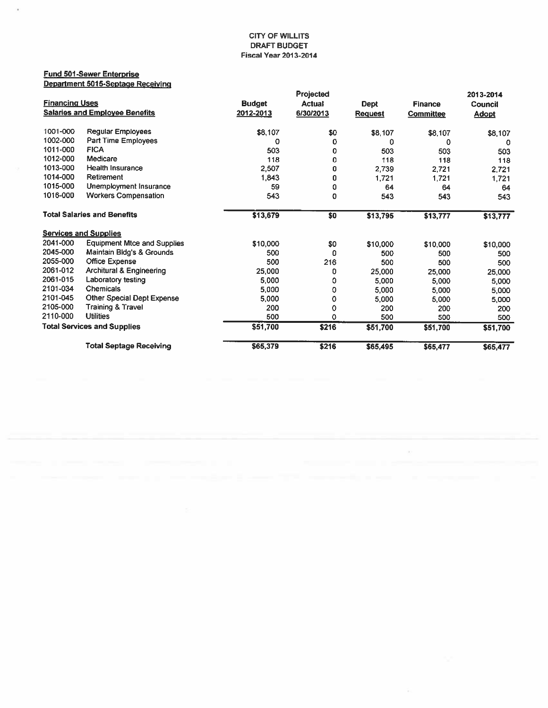### Fund 501-Sewer Enterprise Department 5015-Septage Receiving

i,

|                       |                                       |               | Projected     |                |                | 2013-2014    |
|-----------------------|---------------------------------------|---------------|---------------|----------------|----------------|--------------|
| <b>Financing Uses</b> |                                       | <b>Budget</b> | <b>Actual</b> | <b>Dept</b>    | <b>Finance</b> | Council      |
|                       | <b>Salaries and Employee Benefits</b> | 2012-2013     | 6/30/2013     | <b>Request</b> | Committee      | <u>Adopt</u> |
|                       |                                       |               |               |                |                |              |
| 1001-000              | <b>Regular Employees</b>              | \$8,107       | \$0           | \$8,107        | \$8,107        | \$8,107      |
| 1002-000              | Part Time Employees                   | 0             | 0             | 0              | 0              | 0            |
| 1011-000              | <b>FICA</b>                           | 503           | 0             | 503            | 503            | 503          |
| 1012-000              | Medicare                              | 118           | 0             | 118            | 118            | 118          |
| 1013-000              | <b>Health Insurance</b>               | 2,507         | 0             | 2,739          | 2,721          | 2.721        |
| 1014-000              | Retirement                            | 1,843         | 0             | 1.721          | 1,721          | 1,721        |
| 1015-000              | Unemployment Insurance                | 59            | 0             | 64             | 64             | 64           |
| 1016-000              | <b>Workers Compensation</b>           | 543           | 0             | 543            | 543            | 543          |
|                       | <b>Total Salaries and Benefits</b>    | \$13,679      | \$0           | \$13,795       | \$13,777       | \$13,777     |
|                       | <b>Services and Supplies</b>          |               |               |                |                |              |
| 2041-000              | <b>Equipment Mtce and Supplies</b>    | \$10,000      | \$0           | \$10,000       | \$10,000       | \$10,000     |
| 2045-000              | Maintain Bldg's & Grounds             | 500           | 0             | 500            | 500            | 500          |
| 2055-000              | <b>Office Expense</b>                 | 500           | 216           | 500            | 500            | 500          |
| 2061-012              | <b>Architural &amp; Engineering</b>   | 25,000        | 0             | 25,000         | 25,000         | 25,000       |
| 2061-015              | Laboratory testing                    | 5,000         | 0             | 5.000          | 5,000          | 5,000        |
| 2101-034              | Chemicals                             | 5,000         | 0             | 5,000          | 5,000          | 5,000        |
| 2101-045              | Other Special Dept Expense            | 5,000         | 0             | 5,000          | 5,000          | 5,000        |
| 2105-000              | <b>Training &amp; Travel</b>          | 200           | 0             | 200            | 200            | 200          |
| 2110-000              | <b>Utilities</b>                      | 500           | 0             | 500            | 500            | 500          |
|                       | <b>Total Services and Supplies</b>    | \$51,700      | \$216         | \$51,700       | \$51,700       | \$51,700     |
|                       | <b>Total Septage Receiving</b>        | \$65,379      | \$216         | \$65,495       | \$65,477       | \$65,477     |

 $\langle \hat{A} \rangle$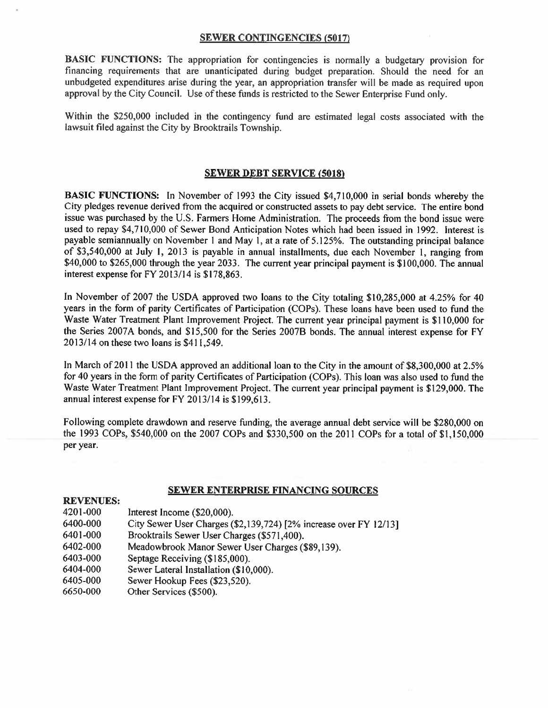# SEWER CONTINGENCIES (5017)

BASIC FUNCTIONS: The appropriation for contingencies is normally <sup>a</sup> budgetary provision for financing requirements that are unanticipated during budget preparation. Should the need for an unbudgeted expenditures arise during the year, an appropriation transfer will be made as required upon approval by the City Council. Use of these funds is restricted to the Sewer Enterprise Fund only.

Within the \$250,000 included in the contingency fund are estimated legal costs associated with the lawsuit filed against the City by Brooktrails Township.

# **SEWER DEBT SERVICE (5018)**

BASIC FUNCTIONS: In November of 1993 the City issued \$4,710,000 in serial bonds whereby the City pledges revenue derived from the acquired or constructed assets to pay debt service. The entire bond issue was purchased by the U.S. Farmers Home Administration. The proceeds from the bond issue were used to repay \$4,710,000 of Sewer Bond Anticipation Notes which had been issued in 1992. Interest is payable semiannually on November 1 and May 1, at <sup>a</sup> rate of 5.125%. The outstanding principal balance of \$3,540,000 at July I, <sup>2013</sup> is payable in annual installments, due each November 1, ranging from \$40,000 to \$265,000 through the year 2033. The current year principal payment is \$100,000. The annual interest expense for FY 2013/14 is \$178,863.

In November of <sup>2007</sup> the USDA approved two loans to the City totaling \$10,285,000 at 4.25% for <sup>40</sup> years in the form of parity Certificates of Participation (COPs). These loans have been used to fund the Waste Water Treatment Plant Improvement Project. The current year principal payment is \$110,000 for the Series 2007A bonds, and \$15,500 for the Series 2007B bonds. The annual interest expense for FY 2013/14 on these two loans is \$411,549.

In March of <sup>2011</sup> the USDA approved an additional loan to the City in the amount of \$8,300,000 at 2.5% for <sup>40</sup> years in the form of parity Certificates of Participation (COPs). This loan was also used to fund the Waste Water Treatment Plant Improvement Project. The current year principal payment is \$129,000. The annual interest expense for FY 2013/14 is \$199,613.

Following complete drawdown and reserve funding, the average annual debt service will be \$280,000 on the 1993 COPs, \$540,000 on the 2007 COPs and \$330,500 on the 2011 COPs for <sup>a</sup> total of \$1,150,000 per year.

# SEWER ENTERPRISE FINANCING SOURCES

# REVENUES: 4201-000 Interest Income (\$20,000). 6400-000 City Sewer User Charges (\$2,139,724) [2% increase over FY 12/13]

- 6401-000 Brooktrails Sewer User Charges (\$571,400).
- 6402-000 Meadowbrook Manor Sewer User Charges (\$89,139).
- 6403-000 Septage Receiving (\$185,000).
- 6404-000 Sewer Lateral Installation (\$10,000).
- 6405-000 Sewer Hookup Fees (\$23,520).
- 6650-000 Other Services (\$500).